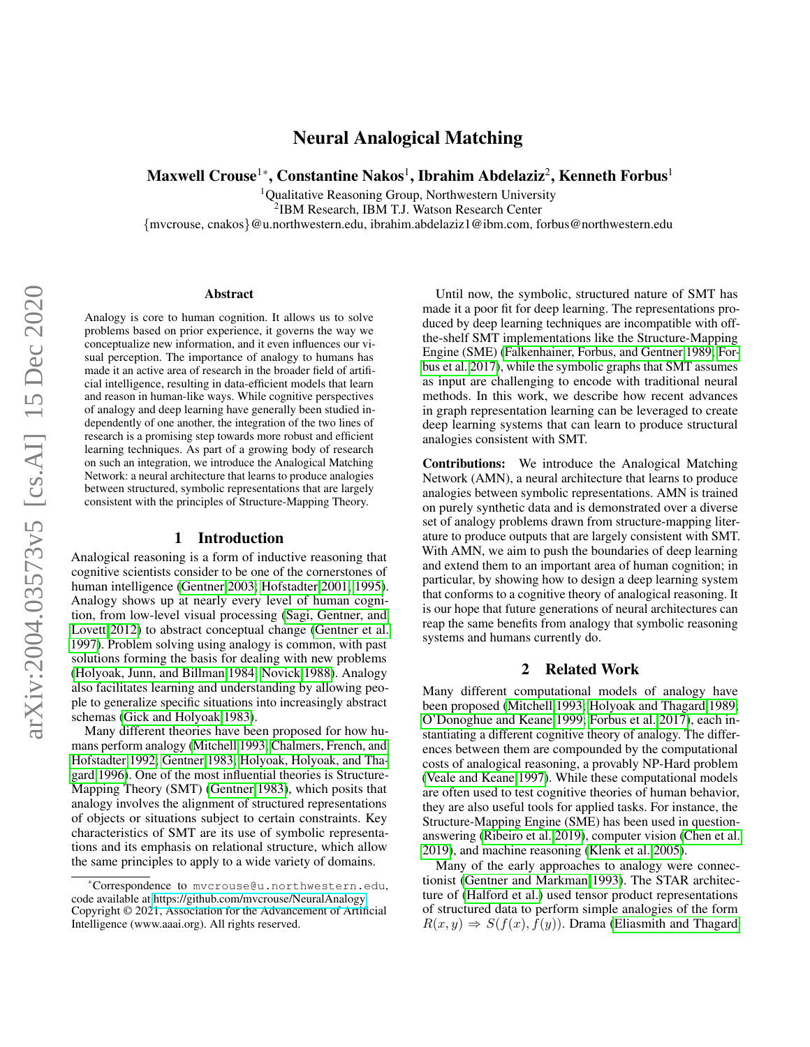# Neural Analogical Matching

Maxwell Crouse $^{1*}$ , Constantine Nakos $^{1}$ , Ibrahim Abdelaziz $^{2}$ , Kenneth Forbus $^{1}$ 

<sup>1</sup>Qualitative Reasoning Group, Northwestern University

2 IBM Research, IBM T.J. Watson Research Center

{mvcrouse, cnakos}@u.northwestern.edu, ibrahim.abdelaziz1@ibm.com, forbus@northwestern.edu

#### Abstract

Analogy is core to human cognition. It allows us to solve problems based on prior experience, it governs the way we conceptualize new information, and it even influences our visual perception. The importance of analogy to humans has made it an active area of research in the broader field of artificial intelligence, resulting in data-efficient models that learn and reason in human-like ways. While cognitive perspectives of analogy and deep learning have generally been studied independently of one another, the integration of the two lines of research is a promising step towards more robust and efficient learning techniques. As part of a growing body of research on such an integration, we introduce the Analogical Matching Network: a neural architecture that learns to produce analogies between structured, symbolic representations that are largely consistent with the principles of Structure-Mapping Theory.

#### 1 Introduction

Analogical reasoning is a form of inductive reasoning that cognitive scientists consider to be one of the cornerstones of human intelligence [\(Gentner 2003;](#page-7-0) [Hofstadter 2001,](#page-7-1) [1995\)](#page-7-2). Analogy shows up at nearly every level of human cognition, from low-level visual processing [\(Sagi, Gentner, and](#page-8-0) [Lovett 2012\)](#page-8-0) to abstract conceptual change [\(Gentner et al.](#page-7-3) [1997\)](#page-7-3). Problem solving using analogy is common, with past solutions forming the basis for dealing with new problems [\(Holyoak, Junn, and Billman 1984;](#page-7-4) [Novick 1988\)](#page-8-1). Analogy also facilitates learning and understanding by allowing people to generalize specific situations into increasingly abstract schemas [\(Gick and Holyoak 1983\)](#page-7-5).

Many different theories have been proposed for how humans perform analogy [\(Mitchell 1993;](#page-8-2) [Chalmers, French, and](#page-7-6) [Hofstadter 1992;](#page-7-6) [Gentner 1983;](#page-7-7) [Holyoak, Holyoak, and Tha](#page-7-8)[gard 1996\)](#page-7-8). One of the most influential theories is Structure-Mapping Theory (SMT) [\(Gentner 1983\)](#page-7-7), which posits that analogy involves the alignment of structured representations of objects or situations subject to certain constraints. Key characteristics of SMT are its use of symbolic representations and its emphasis on relational structure, which allow the same principles to apply to a wide variety of domains.

Until now, the symbolic, structured nature of SMT has made it a poor fit for deep learning. The representations produced by deep learning techniques are incompatible with offthe-shelf SMT implementations like the Structure-Mapping Engine (SME) [\(Falkenhainer, Forbus, and Gentner 1989;](#page-7-9) [For](#page-7-10)[bus et al. 2017\)](#page-7-10), while the symbolic graphs that SMT assumes as input are challenging to encode with traditional neural methods. In this work, we describe how recent advances in graph representation learning can be leveraged to create deep learning systems that can learn to produce structural analogies consistent with SMT.

Contributions: We introduce the Analogical Matching Network (AMN), a neural architecture that learns to produce analogies between symbolic representations. AMN is trained on purely synthetic data and is demonstrated over a diverse set of analogy problems drawn from structure-mapping literature to produce outputs that are largely consistent with SMT. With AMN, we aim to push the boundaries of deep learning and extend them to an important area of human cognition; in particular, by showing how to design a deep learning system that conforms to a cognitive theory of analogical reasoning. It is our hope that future generations of neural architectures can reap the same benefits from analogy that symbolic reasoning systems and humans currently do.

#### 2 Related Work

Many different computational models of analogy have been proposed [\(Mitchell 1993;](#page-8-2) [Holyoak and Thagard 1989;](#page-7-11) [O'Donoghue and Keane 1999;](#page-8-3) [Forbus et al. 2017\)](#page-7-10), each instantiating a different cognitive theory of analogy. The differences between them are compounded by the computational costs of analogical reasoning, a provably NP-Hard problem [\(Veale and Keane 1997\)](#page-8-4). While these computational models are often used to test cognitive theories of human behavior, they are also useful tools for applied tasks. For instance, the Structure-Mapping Engine (SME) has been used in questionanswering [\(Ribeiro et al. 2019\)](#page-8-5), computer vision [\(Chen et al.](#page-7-12) [2019\)](#page-7-12), and machine reasoning [\(Klenk et al. 2005\)](#page-8-6).

Many of the early approaches to analogy were connectionist [\(Gentner and Markman 1993\)](#page-7-13). The STAR architecture of [\(Halford et al.\)](#page-7-14) used tensor product representations of structured data to perform simple analogies of the form  $R(x, y) \Rightarrow S(f(x), f(y))$ . Drama [\(Eliasmith and Thagard](#page-7-15)

<sup>\*</sup>Correspondence to mvcrouse@u.northwestern.edu, code available at [https://github.com/mvcrouse/NeuralAnalogy.](https://github.com/mvcrouse/NeuralAnalogy) Copyright © 2021, Association for the Advancement of Artificial Intelligence (www.aaai.org). All rights reserved.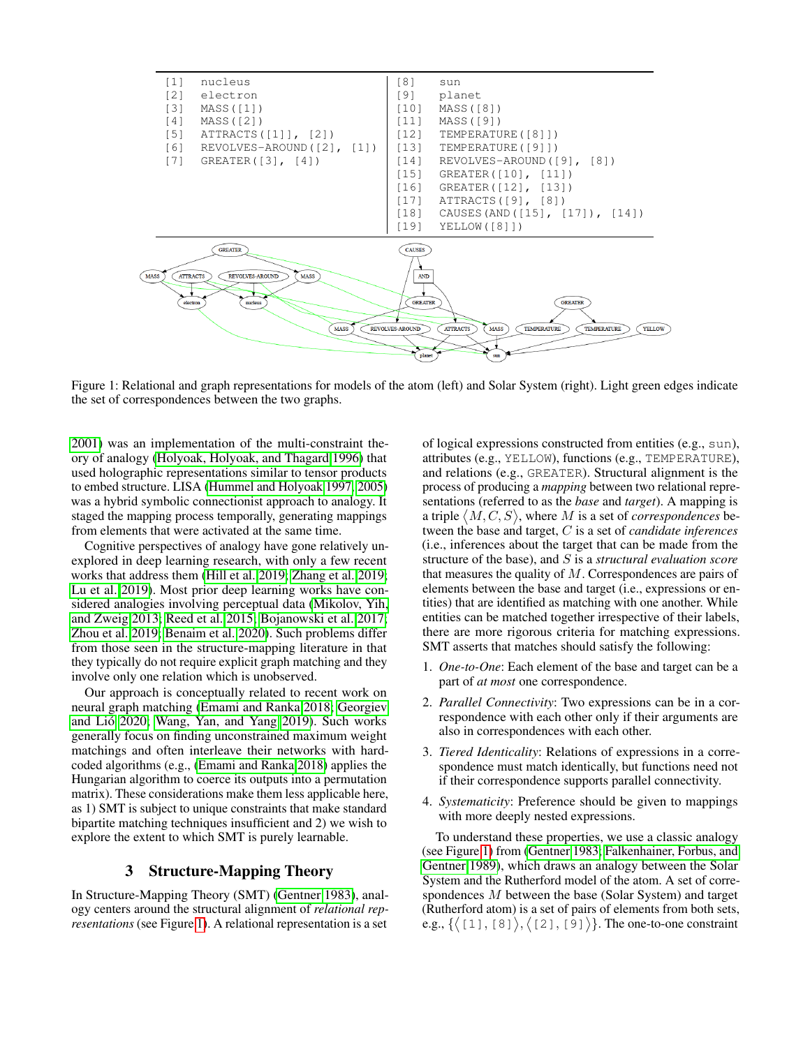<span id="page-1-0"></span>

Figure 1: Relational and graph representations for models of the atom (left) and Solar System (right). Light green edges indicate the set of correspondences between the two graphs.

[2001\)](#page-7-15) was an implementation of the multi-constraint theory of analogy [\(Holyoak, Holyoak, and Thagard 1996\)](#page-7-8) that used holographic representations similar to tensor products to embed structure. LISA [\(Hummel and Holyoak 1997,](#page-7-16) [2005\)](#page-7-17) was a hybrid symbolic connectionist approach to analogy. It staged the mapping process temporally, generating mappings from elements that were activated at the same time.

Cognitive perspectives of analogy have gone relatively unexplored in deep learning research, with only a few recent works that address them [\(Hill et al. 2019;](#page-7-18) [Zhang et al. 2019;](#page-8-7) [Lu et al. 2019\)](#page-8-8). Most prior deep learning works have considered analogies involving perceptual data [\(Mikolov, Yih,](#page-8-9) [and Zweig 2013;](#page-8-9) [Reed et al. 2015;](#page-8-10) [Bojanowski et al. 2017;](#page-7-19) [Zhou et al. 2019;](#page-8-11) [Benaim et al. 2020\)](#page-7-20). Such problems differ from those seen in the structure-mapping literature in that they typically do not require explicit graph matching and they involve only one relation which is unobserved.

Our approach is conceptually related to recent work on neural graph matching [\(Emami and Ranka 2018;](#page-7-21) [Georgiev](#page-7-22) and Lió 2020; [Wang, Yan, and Yang 2019\)](#page-8-12). Such works generally focus on finding unconstrained maximum weight matchings and often interleave their networks with hardcoded algorithms (e.g., [\(Emami and Ranka 2018\)](#page-7-21) applies the Hungarian algorithm to coerce its outputs into a permutation matrix). These considerations make them less applicable here, as 1) SMT is subject to unique constraints that make standard bipartite matching techniques insufficient and 2) we wish to explore the extent to which SMT is purely learnable.

### 3 Structure-Mapping Theory

<span id="page-1-1"></span>In Structure-Mapping Theory (SMT) [\(Gentner 1983\)](#page-7-7), analogy centers around the structural alignment of *relational representations* (see Figure [1\)](#page-1-0). A relational representation is a set of logical expressions constructed from entities (e.g., sun), attributes (e.g., YELLOW), functions (e.g., TEMPERATURE), and relations (e.g., GREATER). Structural alignment is the process of producing a *mapping* between two relational representations (referred to as the *base* and *target*). A mapping is a triple  $\langle M, C, S \rangle$ , where M is a set of *correspondences* between the base and target, C is a set of *candidate inferences* (i.e., inferences about the target that can be made from the structure of the base), and S is a *structural evaluation score* that measures the quality of  $M$ . Correspondences are pairs of elements between the base and target (i.e., expressions or entities) that are identified as matching with one another. While entities can be matched together irrespective of their labels, there are more rigorous criteria for matching expressions. SMT asserts that matches should satisfy the following:

- 1. *One-to-One*: Each element of the base and target can be a part of *at most* one correspondence.
- 2. *Parallel Connectivity*: Two expressions can be in a correspondence with each other only if their arguments are also in correspondences with each other.
- 3. *Tiered Identicality*: Relations of expressions in a correspondence must match identically, but functions need not if their correspondence supports parallel connectivity.
- 4. *Systematicity*: Preference should be given to mappings with more deeply nested expressions.

To understand these properties, we use a classic analogy (see Figure [1\)](#page-1-0) from [\(Gentner 1983;](#page-7-7) [Falkenhainer, Forbus, and](#page-7-9) [Gentner 1989\)](#page-7-9), which draws an analogy between the Solar System and the Rutherford model of the atom. A set of correspondences M between the base (Solar System) and target (Rutherford atom) is a set of pairs of elements from both sets, e.g.,  $\{ \langle 11, 8 \rangle, \langle 21, 9 \rangle \}$ . The one-to-one constraint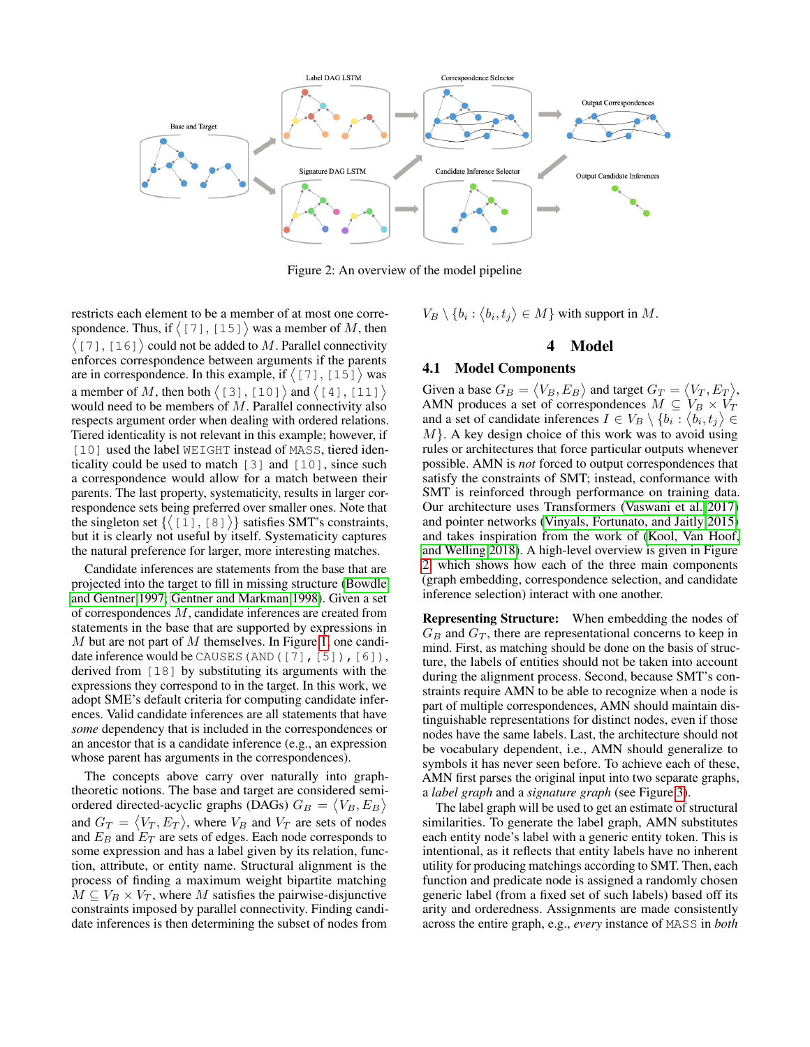<span id="page-2-0"></span>

Figure 2: An overview of the model pipeline

restricts each element to be a member of at most one correspondence. Thus, if  $\langle 17 \, 1, 15 \, 1 \rangle$  was a member of M, then  $(7, 16)$  could not be added to M. Parallel connectivity enforces correspondence between arguments if the parents are in correspondence. In this example, if  $(7, 1, 15)$  was a member of M, then both  $\langle 131, 1201 \rangle$  and  $\langle 141, 111 \rangle$ would need to be members of  $M$ . Parallel connectivity also respects argument order when dealing with ordered relations. Tiered identicality is not relevant in this example; however, if [10] used the label WEIGHT instead of MASS, tiered identicality could be used to match [3] and [10], since such a correspondence would allow for a match between their parents. The last property, systematicity, results in larger correspondence sets being preferred over smaller ones. Note that the singleton set  $\{([1], [8]\})\}$  satisfies SMT's constraints, but it is clearly not useful by itself. Systematicity captures the natural preference for larger, more interesting matches.

Candidate inferences are statements from the base that are projected into the target to fill in missing structure [\(Bowdle](#page-7-23) [and Gentner 1997;](#page-7-23) [Gentner and Markman 1998\)](#page-7-24). Given a set of correspondences M, candidate inferences are created from statements in the base that are supported by expressions in  $M$  but are not part of  $M$  themselves. In Figure [1,](#page-1-0) one candidate inference would be CAUSES (AND ([7], [5]), [6]), derived from [18] by substituting its arguments with the expressions they correspond to in the target. In this work, we adopt SME's default criteria for computing candidate inferences. Valid candidate inferences are all statements that have *some* dependency that is included in the correspondences or an ancestor that is a candidate inference (e.g., an expression whose parent has arguments in the correspondences).

The concepts above carry over naturally into graphtheoretic notions. The base and target are considered semiordered directed-acyclic graphs (DAGs)  $G_B = \langle V_B, E_B \rangle$ and  $G_T = \langle V_T, E_T \rangle$ , where  $V_B$  and  $V_T$  are sets of nodes and  $E_B$  and  $E_T$  are sets of edges. Each node corresponds to some expression and has a label given by its relation, function, attribute, or entity name. Structural alignment is the process of finding a maximum weight bipartite matching  $M \subseteq V_B \times V_T$ , where M satisfies the pairwise-disjunctive constraints imposed by parallel connectivity. Finding candidate inferences is then determining the subset of nodes from

 $V_B \setminus \{b_i : \langle b_i, t_j \rangle \in M\}$  with support in M.

#### 4 Model

#### <span id="page-2-1"></span>4.1 Model Components

Given a base  $G_B = \langle V_B, E_B \rangle$  and target  $G_T = \langle V_T, E_T \rangle$ , AMN produces a set of correspondences  $M \subseteq V_B \times V_T$ and a set of candidate inferences  $I \in V_B \setminus \{b_i : \langle b_i, t_j \rangle \in$  $M$ . A key design choice of this work was to avoid using rules or architectures that force particular outputs whenever possible. AMN is *not* forced to output correspondences that satisfy the constraints of SMT; instead, conformance with SMT is reinforced through performance on training data. Our architecture uses Transformers [\(Vaswani et al. 2017\)](#page-8-13) and pointer networks [\(Vinyals, Fortunato, and Jaitly 2015\)](#page-8-14) and takes inspiration from the work of [\(Kool, Van Hoof,](#page-8-15) [and Welling 2018\)](#page-8-15). A high-level overview is given in Figure [2,](#page-2-0) which shows how each of the three main components (graph embedding, correspondence selection, and candidate inference selection) interact with one another.

Representing Structure: When embedding the nodes of  $G_B$  and  $G_T$ , there are representational concerns to keep in mind. First, as matching should be done on the basis of structure, the labels of entities should not be taken into account during the alignment process. Second, because SMT's constraints require AMN to be able to recognize when a node is part of multiple correspondences, AMN should maintain distinguishable representations for distinct nodes, even if those nodes have the same labels. Last, the architecture should not be vocabulary dependent, i.e., AMN should generalize to symbols it has never seen before. To achieve each of these, AMN first parses the original input into two separate graphs, a *label graph* and a *signature graph* (see Figure [3\)](#page-3-0).

The label graph will be used to get an estimate of structural similarities. To generate the label graph, AMN substitutes each entity node's label with a generic entity token. This is intentional, as it reflects that entity labels have no inherent utility for producing matchings according to SMT. Then, each function and predicate node is assigned a randomly chosen generic label (from a fixed set of such labels) based off its arity and orderedness. Assignments are made consistently across the entire graph, e.g., *every* instance of MASS in *both*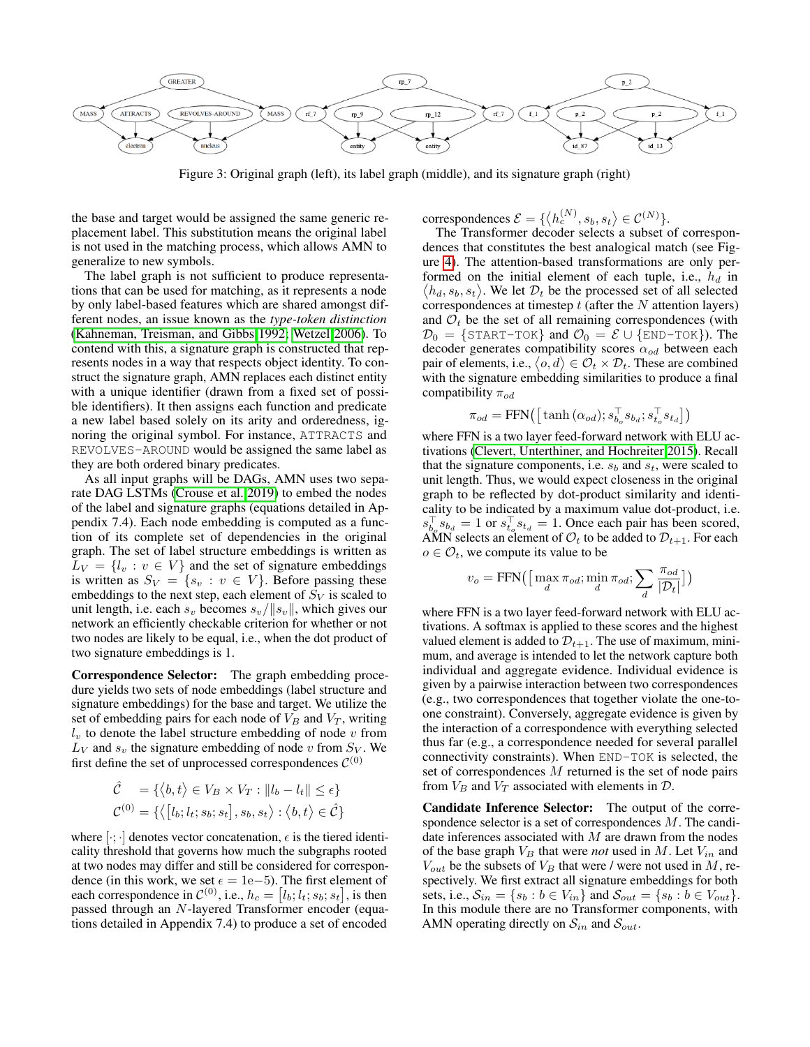<span id="page-3-0"></span>

Figure 3: Original graph (left), its label graph (middle), and its signature graph (right)

the base and target would be assigned the same generic replacement label. This substitution means the original label is not used in the matching process, which allows AMN to generalize to new symbols.

The label graph is not sufficient to produce representations that can be used for matching, as it represents a node by only label-based features which are shared amongst different nodes, an issue known as the *type-token distinction* [\(Kahneman, Treisman, and Gibbs 1992;](#page-7-25) [Wetzel 2006\)](#page-8-16). To contend with this, a signature graph is constructed that represents nodes in a way that respects object identity. To construct the signature graph, AMN replaces each distinct entity with a unique identifier (drawn from a fixed set of possible identifiers). It then assigns each function and predicate a new label based solely on its arity and orderedness, ignoring the original symbol. For instance, ATTRACTS and REVOLVES-AROUND would be assigned the same label as they are both ordered binary predicates.

As all input graphs will be DAGs, AMN uses two separate DAG LSTMs [\(Crouse et al. 2019\)](#page-7-26) to embed the nodes of the label and signature graphs (equations detailed in Appendix 7.4). Each node embedding is computed as a function of its complete set of dependencies in the original graph. The set of label structure embeddings is written as  $L_V = \{l_v : v \in V\}$  and the set of signature embeddings is written as  $S_V = \{s_v : v \in V\}$ . Before passing these embeddings to the next step, each element of  $S_V$  is scaled to unit length, i.e. each  $s_v$  becomes  $s_v/||s_v||$ , which gives our network an efficiently checkable criterion for whether or not two nodes are likely to be equal, i.e., when the dot product of two signature embeddings is 1.

Correspondence Selector: The graph embedding procedure yields two sets of node embeddings (label structure and signature embeddings) for the base and target. We utilize the set of embedding pairs for each node of  $V_B$  and  $V_T$ , writing  $l_v$  to denote the label structure embedding of node  $v$  from  $L_V$  and  $s_v$  the signature embedding of node v from  $S_V$ . We first define the set of unprocessed correspondences  $\mathcal{C}^{(0)}$ 

$$
\hat{\mathcal{C}} = \{ \langle b, t \rangle \in V_B \times V_T : ||l_b - l_t|| \le \epsilon \}
$$
  

$$
\mathcal{C}^{(0)} = \{ \langle [l_b; l_t; s_b; s_t], s_b, s_t \rangle : \langle b, t \rangle \in \hat{\mathcal{C}} \}
$$

where  $[\cdot; \cdot]$  denotes vector concatenation,  $\epsilon$  is the tiered identicality threshold that governs how much the subgraphs rooted at two nodes may differ and still be considered for correspondence (in this work, we set  $\epsilon = 1e-5$ ). The first element of each correspondence in  $\mathcal{C}^{(0)}$ , i.e.,  $h_c = [l_b; l_t; s_b; s_t]$ , is then passed through an N-layered Transformer encoder (equations detailed in Appendix 7.4) to produce a set of encoded

correspondences  $\mathcal{E} = \{ \langle h_c^{(N)}, s_b, s_t \rangle \in \mathcal{C}^{(N)} \}.$ 

The Transformer decoder selects a subset of correspondences that constitutes the best analogical match (see Figure [4\)](#page-4-0). The attention-based transformations are only performed on the initial element of each tuple, i.e.,  $h_d$  in  $\langle h_d, s_b, s_t \rangle$ . We let  $\mathcal{D}_t$  be the processed set of all selected correspondences at timestep  $t$  (after the  $N$  attention layers) and  $\mathcal{O}_t$  be the set of all remaining correspondences (with  $\mathcal{D}_0 = \{\text{START-TOK}\}\$ and  $\mathcal{O}_0 = \mathcal{E} \cup \{\text{END-TOK}\}\)$ . The decoder generates compatibility scores  $\alpha_{od}$  between each pair of elements, i.e.,  $\langle o, d \rangle \in \mathcal{O}_t \times \mathcal{D}_t$ . These are combined with the signature embedding similarities to produce a final compatibility  $\pi_{od}$ 

$$
\pi_{od} = \text{FFN}\left(\left[\tanh\left(\alpha_{od}\right); s_{b_o}^\top s_{b_d}; s_{t_o}^\top s_{t_d}\right]\right)
$$

where FFN is a two layer feed-forward network with ELU activations [\(Clevert, Unterthiner, and Hochreiter 2015\)](#page-7-27). Recall that the signature components, i.e.  $s_b$  and  $s_t$ , were scaled to unit length. Thus, we would expect closeness in the original graph to be reflected by dot-product similarity and identicality to be indicated by a maximum value dot-product, i.e.  $s_{b_o}^{\top} s_{b_d} = 1$  or  $s_{t_o}^{\top} s_{t_d} = 1$ . Once each pair has been scored, AMN selects an element of  $\mathcal{O}_t$  to be added to  $\mathcal{D}_{t+1}$ . For each  $o \in \mathcal{O}_t$ , we compute its value to be

$$
v_o = \text{FFN}\big(\big[\max_d \pi_{od}; \min_d \pi_{od}; \sum_d \frac{\pi_{od}}{|\mathcal{D}_t|}\big]\big)
$$

where FFN is a two layer feed-forward network with ELU activations. A softmax is applied to these scores and the highest valued element is added to  $\mathcal{D}_{t+1}$ . The use of maximum, minimum, and average is intended to let the network capture both individual and aggregate evidence. Individual evidence is given by a pairwise interaction between two correspondences (e.g., two correspondences that together violate the one-toone constraint). Conversely, aggregate evidence is given by the interaction of a correspondence with everything selected thus far (e.g., a correspondence needed for several parallel connectivity constraints). When END-TOK is selected, the set of correspondences M returned is the set of node pairs from  $V_B$  and  $V_T$  associated with elements in  $D$ .

Candidate Inference Selector: The output of the correspondence selector is a set of correspondences M. The candidate inferences associated with  $M$  are drawn from the nodes of the base graph  $V_B$  that were *not* used in M. Let  $V_{in}$  and  $V_{out}$  be the subsets of  $V_B$  that were / were not used in M, respectively. We first extract all signature embeddings for both sets, i.e.,  $S_{in} = \{s_b : b \in V_{in}\}\$  and  $S_{out} = \{s_b : b \in V_{out}\}\$ . In this module there are no Transformer components, with AMN operating directly on  $S_{in}$  and  $S_{out}$ .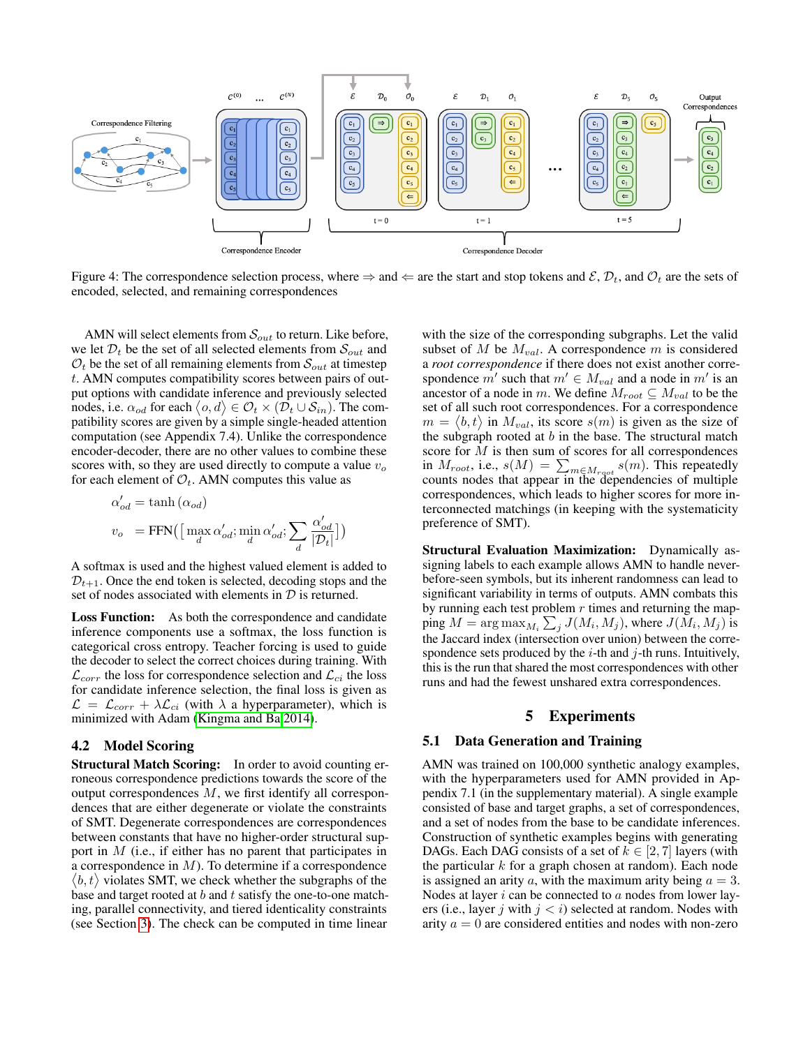<span id="page-4-0"></span>

Figure 4: The correspondence selection process, where  $\Rightarrow$  and  $\Leftarrow$  are the start and stop tokens and  $\mathcal{E}, \mathcal{D}_t$ , and  $\mathcal{O}_t$  are the sets of encoded, selected, and remaining correspondences

AMN will select elements from  $\mathcal{S}_{out}$  to return. Like before, we let  $\mathcal{D}_t$  be the set of all selected elements from  $\mathcal{S}_{out}$  and  $\mathcal{O}_t$  be the set of all remaining elements from  $\mathcal{S}_{out}$  at timestep t. AMN computes compatibility scores between pairs of output options with candidate inference and previously selected nodes, i.e.  $\alpha_{od}$  for each  $\langle o, d \rangle \in \mathcal{O}_t \times (\mathcal{D}_t \cup \mathcal{S}_{in})$ . The compatibility scores are given by a simple single-headed attention computation (see Appendix 7.4). Unlike the correspondence encoder-decoder, there are no other values to combine these scores with, so they are used directly to compute a value  $v<sub>o</sub>$ for each element of  $\mathcal{O}_t$ . AMN computes this value as

$$
\begin{aligned} \alpha'_{od} &= \tanh{(\alpha_{od})} \\ v_o &= \text{FFN}\big(\big[\max_d{\alpha'_{od}}; \min_d{\alpha'_{od}}; \sum_d{\frac{\alpha'_{od}}{|\mathcal{D}_t|}}\big]\big) \end{aligned}
$$

A softmax is used and the highest valued element is added to  $\mathcal{D}_{t+1}$ . Once the end token is selected, decoding stops and the set of nodes associated with elements in  $D$  is returned.

Loss Function: As both the correspondence and candidate inference components use a softmax, the loss function is categorical cross entropy. Teacher forcing is used to guide the decoder to select the correct choices during training. With  $\mathcal{L}_{corr}$  the loss for correspondence selection and  $\mathcal{L}_{ci}$  the loss for candidate inference selection, the final loss is given as  $\mathcal{L} = \mathcal{L}_{corr} + \lambda \mathcal{L}_{ci}$  (with  $\lambda$  a hyperparameter), which is minimized with Adam [\(Kingma and Ba 2014\)](#page-8-17).

#### <span id="page-4-1"></span>4.2 Model Scoring

Structural Match Scoring: In order to avoid counting erroneous correspondence predictions towards the score of the output correspondences M, we first identify all correspondences that are either degenerate or violate the constraints of SMT. Degenerate correspondences are correspondences between constants that have no higher-order structural support in M (i.e., if either has no parent that participates in a correspondence in  $M$ ). To determine if a correspondence  $\langle b, t \rangle$  violates SMT, we check whether the subgraphs of the base and target rooted at  $b$  and  $t$  satisfy the one-to-one matching, parallel connectivity, and tiered identicality constraints (see Section [3\)](#page-1-1). The check can be computed in time linear

with the size of the corresponding subgraphs. Let the valid subset of M be  $M_{val}$ . A correspondence m is considered a *root correspondence* if there does not exist another correspondence  $m'$  such that  $m' \in M_{val}$  and a node in  $m'$  is an ancestor of a node in m. We define  $M_{root} \subseteq M_{val}$  to be the set of all such root correspondences. For a correspondence  $m = \langle b, t \rangle$  in  $M_{val}$ , its score  $s(m)$  is given as the size of the subgraph rooted at  $b$  in the base. The structural match score for  $M$  is then sum of scores for all correspondences in  $M_{root}$ , i.e.,  $s(M) = \sum_{m \in M_{root}} s(m)$ . This repeatedly counts nodes that appear in the dependencies of multiple correspondences, which leads to higher scores for more interconnected matchings (in keeping with the systematicity preference of SMT).

Structural Evaluation Maximization: Dynamically assigning labels to each example allows AMN to handle neverbefore-seen symbols, but its inherent randomness can lead to significant variability in terms of outputs. AMN combats this by running each test problem  $r$  times and returning the mapping  $M = \argmax_{M_i} \sum_j J(M_i, M_j)$ , where  $J(M_i, M_j)$  is the Jaccard index (intersection over union) between the correspondence sets produced by the  $i$ -th and  $j$ -th runs. Intuitively, this is the run that shared the most correspondences with other runs and had the fewest unshared extra correspondences.

#### 5 Experiments

#### 5.1 Data Generation and Training

AMN was trained on 100,000 synthetic analogy examples, with the hyperparameters used for AMN provided in Appendix 7.1 (in the supplementary material). A single example consisted of base and target graphs, a set of correspondences, and a set of nodes from the base to be candidate inferences. Construction of synthetic examples begins with generating DAGs. Each DAG consists of a set of  $k \in [2, 7]$  layers (with the particular  $k$  for a graph chosen at random). Each node is assigned an arity a, with the maximum arity being  $a = 3$ . Nodes at layer  $i$  can be connected to  $a$  nodes from lower layers (i.e., layer j with  $j < i$ ) selected at random. Nodes with arity  $a = 0$  are considered entities and nodes with non-zero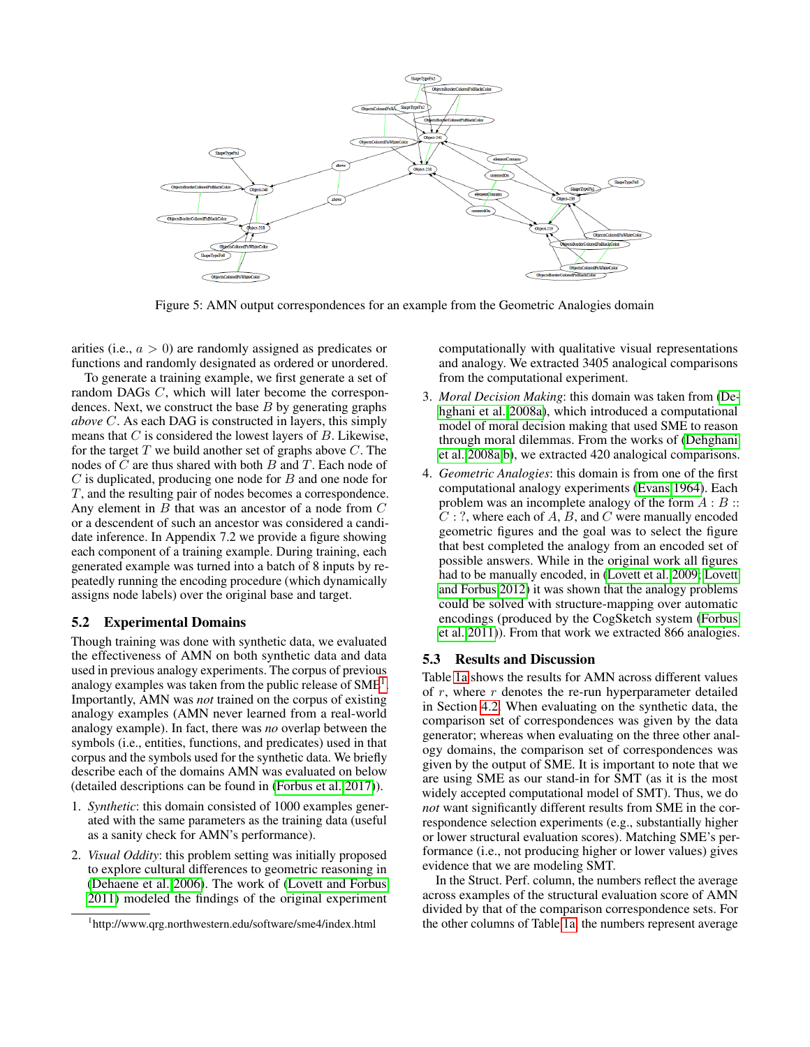<span id="page-5-1"></span>

Figure 5: AMN output correspondences for an example from the Geometric Analogies domain

arities (i.e.,  $a > 0$ ) are randomly assigned as predicates or functions and randomly designated as ordered or unordered.

To generate a training example, we first generate a set of random DAGs C, which will later become the correspondences. Next, we construct the base  $B$  by generating graphs *above* C. As each DAG is constructed in layers, this simply means that  $C$  is considered the lowest layers of  $B$ . Likewise, for the target  $T$  we build another set of graphs above  $C$ . The nodes of  $C$  are thus shared with both  $B$  and  $T$ . Each node of  $C$  is duplicated, producing one node for  $B$  and one node for T, and the resulting pair of nodes becomes a correspondence. Any element in  $B$  that was an ancestor of a node from  $C$ or a descendent of such an ancestor was considered a candidate inference. In Appendix 7.2 we provide a figure showing each component of a training example. During training, each generated example was turned into a batch of 8 inputs by repeatedly running the encoding procedure (which dynamically assigns node labels) over the original base and target.

#### 5.2 Experimental Domains

Though training was done with synthetic data, we evaluated the effectiveness of AMN on both synthetic data and data used in previous analogy experiments. The corpus of previous analogy examples was taken from the public release of SME<sup>[1](#page-5-0)</sup>. Importantly, AMN was *not* trained on the corpus of existing analogy examples (AMN never learned from a real-world analogy example). In fact, there was *no* overlap between the symbols (i.e., entities, functions, and predicates) used in that corpus and the symbols used for the synthetic data. We briefly describe each of the domains AMN was evaluated on below (detailed descriptions can be found in [\(Forbus et al. 2017\)](#page-7-10)).

- 1. *Synthetic*: this domain consisted of 1000 examples generated with the same parameters as the training data (useful as a sanity check for AMN's performance).
- 2. *Visual Oddity*: this problem setting was initially proposed to explore cultural differences to geometric reasoning in [\(Dehaene et al. 2006\)](#page-7-28). The work of [\(Lovett and Forbus](#page-8-18) [2011\)](#page-8-18) modeled the findings of the original experiment

computationally with qualitative visual representations and analogy. We extracted 3405 analogical comparisons from the computational experiment.

- 3. *Moral Decision Making*: this domain was taken from [\(De](#page-7-29)[hghani et al. 2008a\)](#page-7-29), which introduced a computational model of moral decision making that used SME to reason through moral dilemmas. From the works of [\(Dehghani](#page-7-29) [et al. 2008a](#page-7-29)[,b\)](#page-7-30), we extracted 420 analogical comparisons.
- 4. *Geometric Analogies*: this domain is from one of the first computational analogy experiments [\(Evans 1964\)](#page-7-31). Each problem was an incomplete analogy of the form  $A : B ::$  $C:$ ?, where each of  $A, B$ , and  $C$  were manually encoded geometric figures and the goal was to select the figure that best completed the analogy from an encoded set of possible answers. While in the original work all figures had to be manually encoded, in [\(Lovett et al. 2009;](#page-8-19) [Lovett](#page-8-20) [and Forbus 2012\)](#page-8-20) it was shown that the analogy problems could be solved with structure-mapping over automatic encodings (produced by the CogSketch system [\(Forbus](#page-7-32) [et al. 2011\)](#page-7-32)). From that work we extracted 866 analogies.

#### 5.3 Results and Discussion

Table [1a](#page-6-0) shows the results for AMN across different values of  $r$ , where  $r$  denotes the re-run hyperparameter detailed in Section [4.2.](#page-4-1) When evaluating on the synthetic data, the comparison set of correspondences was given by the data generator; whereas when evaluating on the three other analogy domains, the comparison set of correspondences was given by the output of SME. It is important to note that we are using SME as our stand-in for SMT (as it is the most widely accepted computational model of SMT). Thus, we do *not* want significantly different results from SME in the correspondence selection experiments (e.g., substantially higher or lower structural evaluation scores). Matching SME's performance (i.e., not producing higher or lower values) gives evidence that we are modeling SMT.

In the Struct. Perf. column, the numbers reflect the average across examples of the structural evaluation score of AMN divided by that of the comparison correspondence sets. For the other columns of Table [1a,](#page-6-0) the numbers represent average

<span id="page-5-0"></span><sup>1</sup> http://www.qrg.northwestern.edu/software/sme4/index.html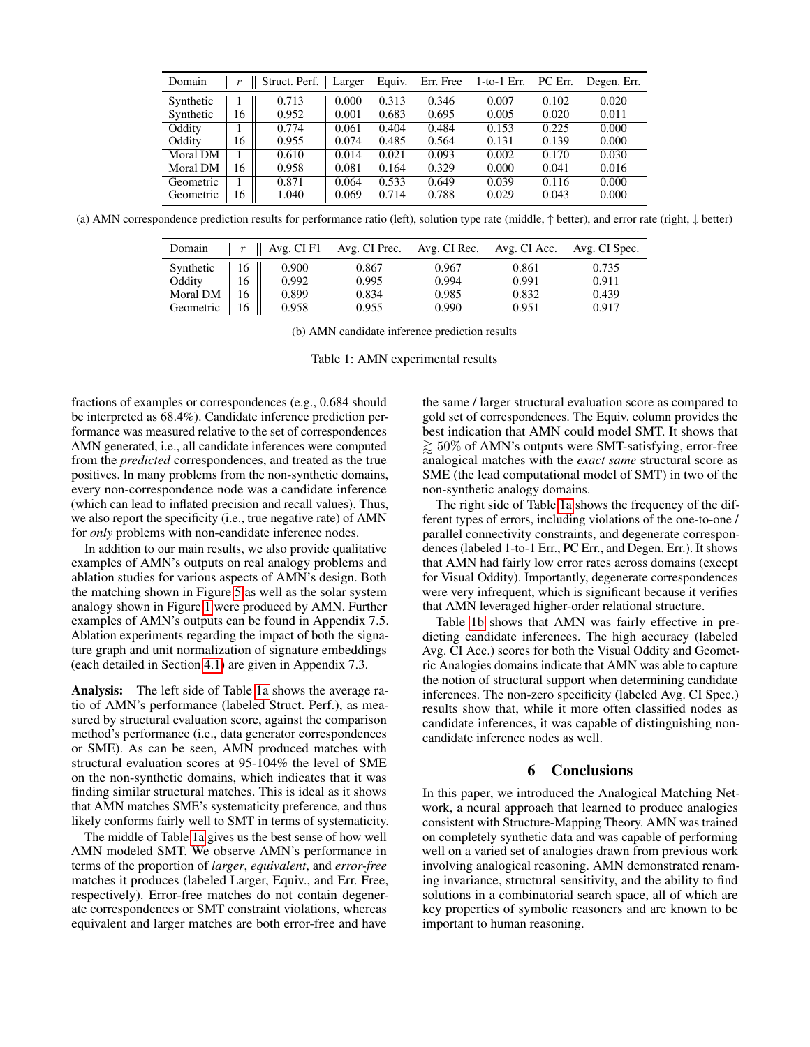<span id="page-6-0"></span>

| Domain          |    | Struct. Perf. | Larger | Equiv. | Err. Free | $1-to-1$ Err. | PC Err. | Degen. Err. |
|-----------------|----|---------------|--------|--------|-----------|---------------|---------|-------------|
| Synthetic       |    | 0.713         | 0.000  | 0.313  | 0.346     | 0.007         | 0.102   | 0.020       |
| Synthetic       | 16 | 0.952         | 0.001  | 0.683  | 0.695     | 0.005         | 0.020   | 0.011       |
| Oddity          |    | 0.774         | 0.061  | 0.404  | 0.484     | 0.153         | 0.225   | 0.000       |
| Oddity          | 16 | 0.955         | 0.074  | 0.485  | 0.564     | 0.131         | 0.139   | 0.000       |
| Moral DM        |    | 0.610         | 0.014  | 0.021  | 0.093     | 0.002         | 0.170   | 0.030       |
| <b>Moral DM</b> | 16 | 0.958         | 0.081  | 0.164  | 0.329     | 0.000         | 0.041   | 0.016       |
| Geometric       |    | 0.871         | 0.064  | 0.533  | 0.649     | 0.039         | 0.116   | 0.000       |
| Geometric       | 16 | 1.040         | 0.069  | 0.714  | 0.788     | 0.029         | 0.043   | 0.000       |

(a) AMN correspondence prediction results for performance ratio (left), solution type rate (middle, ↑ better), and error rate (right, ↓ better)

| Domain    | $\boldsymbol{r}$ | Avg. CI F1 | Avg. CI Prec. | Avg. CI Rec. | Avg. CI Acc. | Avg. CI Spec. |
|-----------|------------------|------------|---------------|--------------|--------------|---------------|
| Synthetic | 16               | 0.900      | 0.867         | 0.967        | 0.861        | 0.735         |
| Oddity    | 16               | 0.992      | 0.995         | 0.994        | 0.991        | 0.911         |
| Moral DM  | 16               | 0.899      | 0.834         | 0.985        | 0.832        | 0.439         |
| Geometric | 16               | 0.958      | 0.955         | 0.990        | 0.951        | 0.917         |

(b) AMN candidate inference prediction results

Table 1: AMN experimental results

fractions of examples or correspondences (e.g., 0.684 should be interpreted as 68.4%). Candidate inference prediction performance was measured relative to the set of correspondences AMN generated, i.e., all candidate inferences were computed from the *predicted* correspondences, and treated as the true positives. In many problems from the non-synthetic domains, every non-correspondence node was a candidate inference (which can lead to inflated precision and recall values). Thus, we also report the specificity (i.e., true negative rate) of AMN for *only* problems with non-candidate inference nodes.

In addition to our main results, we also provide qualitative examples of AMN's outputs on real analogy problems and ablation studies for various aspects of AMN's design. Both the matching shown in Figure [5](#page-5-1) as well as the solar system analogy shown in Figure [1](#page-1-0) were produced by AMN. Further examples of AMN's outputs can be found in Appendix 7.5. Ablation experiments regarding the impact of both the signature graph and unit normalization of signature embeddings (each detailed in Section [4.1\)](#page-2-1) are given in Appendix 7.3.

Analysis: The left side of Table [1a](#page-6-0) shows the average ratio of AMN's performance (labeled Struct. Perf.), as measured by structural evaluation score, against the comparison method's performance (i.e., data generator correspondences or SME). As can be seen, AMN produced matches with structural evaluation scores at 95-104% the level of SME on the non-synthetic domains, which indicates that it was finding similar structural matches. This is ideal as it shows that AMN matches SME's systematicity preference, and thus likely conforms fairly well to SMT in terms of systematicity.

The middle of Table [1a](#page-6-0) gives us the best sense of how well AMN modeled SMT. We observe AMN's performance in terms of the proportion of *larger*, *equivalent*, and *error-free* matches it produces (labeled Larger, Equiv., and Err. Free, respectively). Error-free matches do not contain degenerate correspondences or SMT constraint violations, whereas equivalent and larger matches are both error-free and have

the same / larger structural evaluation score as compared to gold set of correspondences. The Equiv. column provides the best indication that AMN could model SMT. It shows that  $\gtrsim 50\%$  of AMN's outputs were SMT-satisfying, error-free analogical matches with the *exact same* structural score as SME (the lead computational model of SMT) in two of the non-synthetic analogy domains.

The right side of Table [1a](#page-6-0) shows the frequency of the different types of errors, including violations of the one-to-one / parallel connectivity constraints, and degenerate correspondences (labeled 1-to-1 Err., PC Err., and Degen. Err.). It shows that AMN had fairly low error rates across domains (except for Visual Oddity). Importantly, degenerate correspondences were very infrequent, which is significant because it verifies that AMN leveraged higher-order relational structure.

Table [1b](#page-6-0) shows that AMN was fairly effective in predicting candidate inferences. The high accuracy (labeled Avg. CI Acc.) scores for both the Visual Oddity and Geometric Analogies domains indicate that AMN was able to capture the notion of structural support when determining candidate inferences. The non-zero specificity (labeled Avg. CI Spec.) results show that, while it more often classified nodes as candidate inferences, it was capable of distinguishing noncandidate inference nodes as well.

## 6 Conclusions

In this paper, we introduced the Analogical Matching Network, a neural approach that learned to produce analogies consistent with Structure-Mapping Theory. AMN was trained on completely synthetic data and was capable of performing well on a varied set of analogies drawn from previous work involving analogical reasoning. AMN demonstrated renaming invariance, structural sensitivity, and the ability to find solutions in a combinatorial search space, all of which are key properties of symbolic reasoners and are known to be important to human reasoning.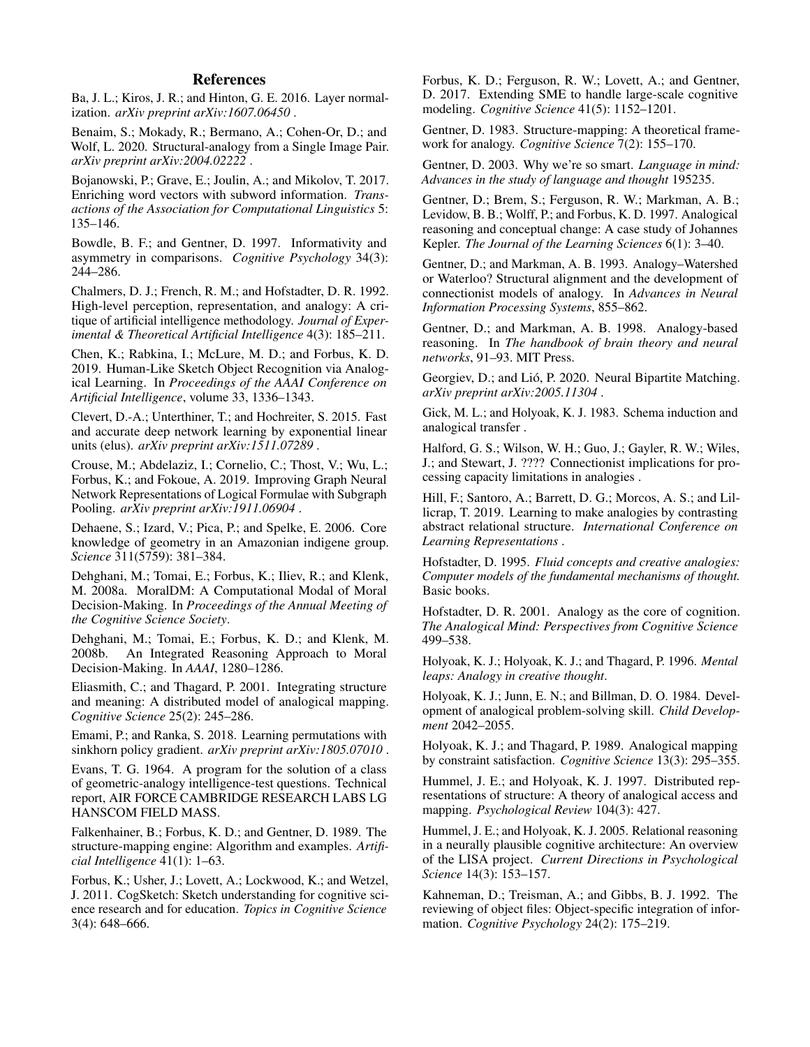## References

<span id="page-7-33"></span>Ba, J. L.; Kiros, J. R.; and Hinton, G. E. 2016. Layer normalization. *arXiv preprint arXiv:1607.06450* .

<span id="page-7-20"></span>Benaim, S.; Mokady, R.; Bermano, A.; Cohen-Or, D.; and Wolf, L. 2020. Structural-analogy from a Single Image Pair. *arXiv preprint arXiv:2004.02222* .

<span id="page-7-19"></span>Bojanowski, P.; Grave, E.; Joulin, A.; and Mikolov, T. 2017. Enriching word vectors with subword information. *Transactions of the Association for Computational Linguistics* 5: 135–146.

<span id="page-7-23"></span>Bowdle, B. F.; and Gentner, D. 1997. Informativity and asymmetry in comparisons. *Cognitive Psychology* 34(3): 244–286.

<span id="page-7-6"></span>Chalmers, D. J.; French, R. M.; and Hofstadter, D. R. 1992. High-level perception, representation, and analogy: A critique of artificial intelligence methodology. *Journal of Experimental & Theoretical Artificial Intelligence* 4(3): 185–211.

<span id="page-7-12"></span>Chen, K.; Rabkina, I.; McLure, M. D.; and Forbus, K. D. 2019. Human-Like Sketch Object Recognition via Analogical Learning. In *Proceedings of the AAAI Conference on Artificial Intelligence*, volume 33, 1336–1343.

<span id="page-7-27"></span>Clevert, D.-A.; Unterthiner, T.; and Hochreiter, S. 2015. Fast and accurate deep network learning by exponential linear units (elus). *arXiv preprint arXiv:1511.07289* .

<span id="page-7-26"></span>Crouse, M.; Abdelaziz, I.; Cornelio, C.; Thost, V.; Wu, L.; Forbus, K.; and Fokoue, A. 2019. Improving Graph Neural Network Representations of Logical Formulae with Subgraph Pooling. *arXiv preprint arXiv:1911.06904* .

<span id="page-7-28"></span>Dehaene, S.; Izard, V.; Pica, P.; and Spelke, E. 2006. Core knowledge of geometry in an Amazonian indigene group. *Science* 311(5759): 381–384.

<span id="page-7-29"></span>Dehghani, M.; Tomai, E.; Forbus, K.; Iliev, R.; and Klenk, M. 2008a. MoralDM: A Computational Modal of Moral Decision-Making. In *Proceedings of the Annual Meeting of the Cognitive Science Society*.

<span id="page-7-30"></span>Dehghani, M.; Tomai, E.; Forbus, K. D.; and Klenk, M. An Integrated Reasoning Approach to Moral Decision-Making. In *AAAI*, 1280–1286.

<span id="page-7-15"></span>Eliasmith, C.; and Thagard, P. 2001. Integrating structure and meaning: A distributed model of analogical mapping. *Cognitive Science* 25(2): 245–286.

<span id="page-7-21"></span>Emami, P.; and Ranka, S. 2018. Learning permutations with sinkhorn policy gradient. *arXiv preprint arXiv:1805.07010* .

<span id="page-7-31"></span>Evans, T. G. 1964. A program for the solution of a class of geometric-analogy intelligence-test questions. Technical report, AIR FORCE CAMBRIDGE RESEARCH LABS LG HANSCOM FIELD MASS.

<span id="page-7-9"></span>Falkenhainer, B.; Forbus, K. D.; and Gentner, D. 1989. The structure-mapping engine: Algorithm and examples. *Artificial Intelligence* 41(1): 1–63.

<span id="page-7-32"></span>Forbus, K.; Usher, J.; Lovett, A.; Lockwood, K.; and Wetzel, J. 2011. CogSketch: Sketch understanding for cognitive science research and for education. *Topics in Cognitive Science* 3(4): 648–666.

<span id="page-7-10"></span>Forbus, K. D.; Ferguson, R. W.; Lovett, A.; and Gentner, D. 2017. Extending SME to handle large-scale cognitive modeling. *Cognitive Science* 41(5): 1152–1201.

<span id="page-7-7"></span>Gentner, D. 1983. Structure-mapping: A theoretical framework for analogy. *Cognitive Science* 7(2): 155–170.

<span id="page-7-0"></span>Gentner, D. 2003. Why we're so smart. *Language in mind: Advances in the study of language and thought* 195235.

<span id="page-7-3"></span>Gentner, D.; Brem, S.; Ferguson, R. W.; Markman, A. B.; Levidow, B. B.; Wolff, P.; and Forbus, K. D. 1997. Analogical reasoning and conceptual change: A case study of Johannes Kepler. *The Journal of the Learning Sciences* 6(1): 3–40.

<span id="page-7-13"></span>Gentner, D.; and Markman, A. B. 1993. Analogy–Watershed or Waterloo? Structural alignment and the development of connectionist models of analogy. In *Advances in Neural Information Processing Systems*, 855–862.

<span id="page-7-24"></span>Gentner, D.; and Markman, A. B. 1998. Analogy-based reasoning. In *The handbook of brain theory and neural networks*, 91–93. MIT Press.

<span id="page-7-22"></span>Georgiev, D.; and Lió, P. 2020. Neural Bipartite Matching. *arXiv preprint arXiv:2005.11304* .

<span id="page-7-5"></span>Gick, M. L.; and Holyoak, K. J. 1983. Schema induction and analogical transfer .

<span id="page-7-14"></span>Halford, G. S.; Wilson, W. H.; Guo, J.; Gayler, R. W.; Wiles, J.; and Stewart, J. ???? Connectionist implications for processing capacity limitations in analogies .

<span id="page-7-18"></span>Hill, F.; Santoro, A.; Barrett, D. G.; Morcos, A. S.; and Lillicrap, T. 2019. Learning to make analogies by contrasting abstract relational structure. *International Conference on Learning Representations* .

<span id="page-7-2"></span>Hofstadter, D. 1995. *Fluid concepts and creative analogies: Computer models of the fundamental mechanisms of thought.* Basic books.

<span id="page-7-1"></span>Hofstadter, D. R. 2001. Analogy as the core of cognition. *The Analogical Mind: Perspectives from Cognitive Science* 499–538.

<span id="page-7-8"></span>Holyoak, K. J.; Holyoak, K. J.; and Thagard, P. 1996. *Mental leaps: Analogy in creative thought*.

<span id="page-7-4"></span>Holyoak, K. J.; Junn, E. N.; and Billman, D. O. 1984. Development of analogical problem-solving skill. *Child Development* 2042–2055.

<span id="page-7-11"></span>Holyoak, K. J.; and Thagard, P. 1989. Analogical mapping by constraint satisfaction. *Cognitive Science* 13(3): 295–355.

<span id="page-7-16"></span>Hummel, J. E.; and Holyoak, K. J. 1997. Distributed representations of structure: A theory of analogical access and mapping. *Psychological Review* 104(3): 427.

<span id="page-7-17"></span>Hummel, J. E.; and Holyoak, K. J. 2005. Relational reasoning in a neurally plausible cognitive architecture: An overview of the LISA project. *Current Directions in Psychological Science* 14(3): 153–157.

<span id="page-7-25"></span>Kahneman, D.; Treisman, A.; and Gibbs, B. J. 1992. The reviewing of object files: Object-specific integration of information. *Cognitive Psychology* 24(2): 175–219.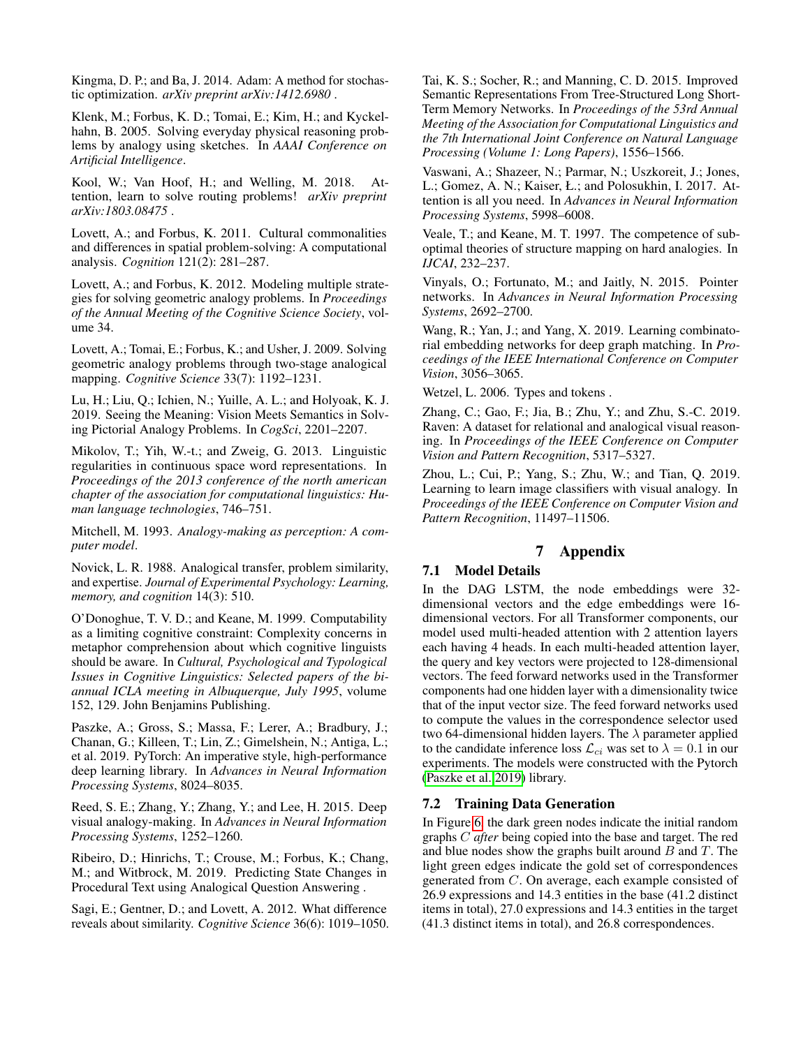<span id="page-8-17"></span>Kingma, D. P.; and Ba, J. 2014. Adam: A method for stochastic optimization. *arXiv preprint arXiv:1412.6980* .

<span id="page-8-6"></span>Klenk, M.; Forbus, K. D.; Tomai, E.; Kim, H.; and Kyckelhahn, B. 2005. Solving everyday physical reasoning problems by analogy using sketches. In *AAAI Conference on Artificial Intelligence*.

<span id="page-8-15"></span>Kool, W.; Van Hoof, H.; and Welling, M. 2018. Attention, learn to solve routing problems! *arXiv preprint arXiv:1803.08475* .

<span id="page-8-18"></span>Lovett, A.; and Forbus, K. 2011. Cultural commonalities and differences in spatial problem-solving: A computational analysis. *Cognition* 121(2): 281–287.

<span id="page-8-20"></span>Lovett, A.; and Forbus, K. 2012. Modeling multiple strategies for solving geometric analogy problems. In *Proceedings of the Annual Meeting of the Cognitive Science Society*, volume 34.

<span id="page-8-19"></span>Lovett, A.; Tomai, E.; Forbus, K.; and Usher, J. 2009. Solving geometric analogy problems through two-stage analogical mapping. *Cognitive Science* 33(7): 1192–1231.

<span id="page-8-8"></span>Lu, H.; Liu, Q.; Ichien, N.; Yuille, A. L.; and Holyoak, K. J. 2019. Seeing the Meaning: Vision Meets Semantics in Solving Pictorial Analogy Problems. In *CogSci*, 2201–2207.

<span id="page-8-9"></span>Mikolov, T.; Yih, W.-t.; and Zweig, G. 2013. Linguistic regularities in continuous space word representations. In *Proceedings of the 2013 conference of the north american chapter of the association for computational linguistics: Human language technologies*, 746–751.

<span id="page-8-2"></span>Mitchell, M. 1993. *Analogy-making as perception: A computer model*.

<span id="page-8-1"></span>Novick, L. R. 1988. Analogical transfer, problem similarity, and expertise. *Journal of Experimental Psychology: Learning, memory, and cognition* 14(3): 510.

<span id="page-8-3"></span>O'Donoghue, T. V. D.; and Keane, M. 1999. Computability as a limiting cognitive constraint: Complexity concerns in metaphor comprehension about which cognitive linguists should be aware. In *Cultural, Psychological and Typological Issues in Cognitive Linguistics: Selected papers of the biannual ICLA meeting in Albuquerque, July 1995*, volume 152, 129. John Benjamins Publishing.

<span id="page-8-21"></span>Paszke, A.; Gross, S.; Massa, F.; Lerer, A.; Bradbury, J.; Chanan, G.; Killeen, T.; Lin, Z.; Gimelshein, N.; Antiga, L.; et al. 2019. PyTorch: An imperative style, high-performance deep learning library. In *Advances in Neural Information Processing Systems*, 8024–8035.

<span id="page-8-10"></span>Reed, S. E.; Zhang, Y.; Zhang, Y.; and Lee, H. 2015. Deep visual analogy-making. In *Advances in Neural Information Processing Systems*, 1252–1260.

<span id="page-8-5"></span>Ribeiro, D.; Hinrichs, T.; Crouse, M.; Forbus, K.; Chang, M.; and Witbrock, M. 2019. Predicting State Changes in Procedural Text using Analogical Question Answering .

<span id="page-8-0"></span>Sagi, E.; Gentner, D.; and Lovett, A. 2012. What difference reveals about similarity. *Cognitive Science* 36(6): 1019–1050. <span id="page-8-22"></span>Tai, K. S.; Socher, R.; and Manning, C. D. 2015. Improved Semantic Representations From Tree-Structured Long Short-Term Memory Networks. In *Proceedings of the 53rd Annual Meeting of the Association for Computational Linguistics and the 7th International Joint Conference on Natural Language Processing (Volume 1: Long Papers)*, 1556–1566.

<span id="page-8-13"></span>Vaswani, A.; Shazeer, N.; Parmar, N.; Uszkoreit, J.; Jones, L.; Gomez, A. N.; Kaiser, Ł.; and Polosukhin, I. 2017. Attention is all you need. In *Advances in Neural Information Processing Systems*, 5998–6008.

<span id="page-8-4"></span>Veale, T.; and Keane, M. T. 1997. The competence of suboptimal theories of structure mapping on hard analogies. In *IJCAI*, 232–237.

<span id="page-8-14"></span>Vinyals, O.; Fortunato, M.; and Jaitly, N. 2015. Pointer networks. In *Advances in Neural Information Processing Systems*, 2692–2700.

<span id="page-8-12"></span>Wang, R.; Yan, J.; and Yang, X. 2019. Learning combinatorial embedding networks for deep graph matching. In *Proceedings of the IEEE International Conference on Computer Vision*, 3056–3065.

<span id="page-8-16"></span>Wetzel, L. 2006. Types and tokens .

<span id="page-8-7"></span>Zhang, C.; Gao, F.; Jia, B.; Zhu, Y.; and Zhu, S.-C. 2019. Raven: A dataset for relational and analogical visual reasoning. In *Proceedings of the IEEE Conference on Computer Vision and Pattern Recognition*, 5317–5327.

<span id="page-8-11"></span>Zhou, L.; Cui, P.; Yang, S.; Zhu, W.; and Tian, Q. 2019. Learning to learn image classifiers with visual analogy. In *Proceedings of the IEEE Conference on Computer Vision and Pattern Recognition*, 11497–11506.

### 7 Appendix

### 7.1 Model Details

In the DAG LSTM, the node embeddings were 32 dimensional vectors and the edge embeddings were 16 dimensional vectors. For all Transformer components, our model used multi-headed attention with 2 attention layers each having 4 heads. In each multi-headed attention layer, the query and key vectors were projected to 128-dimensional vectors. The feed forward networks used in the Transformer components had one hidden layer with a dimensionality twice that of the input vector size. The feed forward networks used to compute the values in the correspondence selector used two 64-dimensional hidden layers. The  $\lambda$  parameter applied to the candidate inference loss  $\mathcal{L}_{ci}$  was set to  $\lambda = 0.1$  in our experiments. The models were constructed with the Pytorch [\(Paszke et al. 2019\)](#page-8-21) library.

### 7.2 Training Data Generation

In Figure [6,](#page-9-0) the dark green nodes indicate the initial random graphs C *after* being copied into the base and target. The red and blue nodes show the graphs built around  $B$  and  $T$ . The light green edges indicate the gold set of correspondences generated from C. On average, each example consisted of 26.9 expressions and 14.3 entities in the base (41.2 distinct items in total), 27.0 expressions and 14.3 entities in the target (41.3 distinct items in total), and 26.8 correspondences.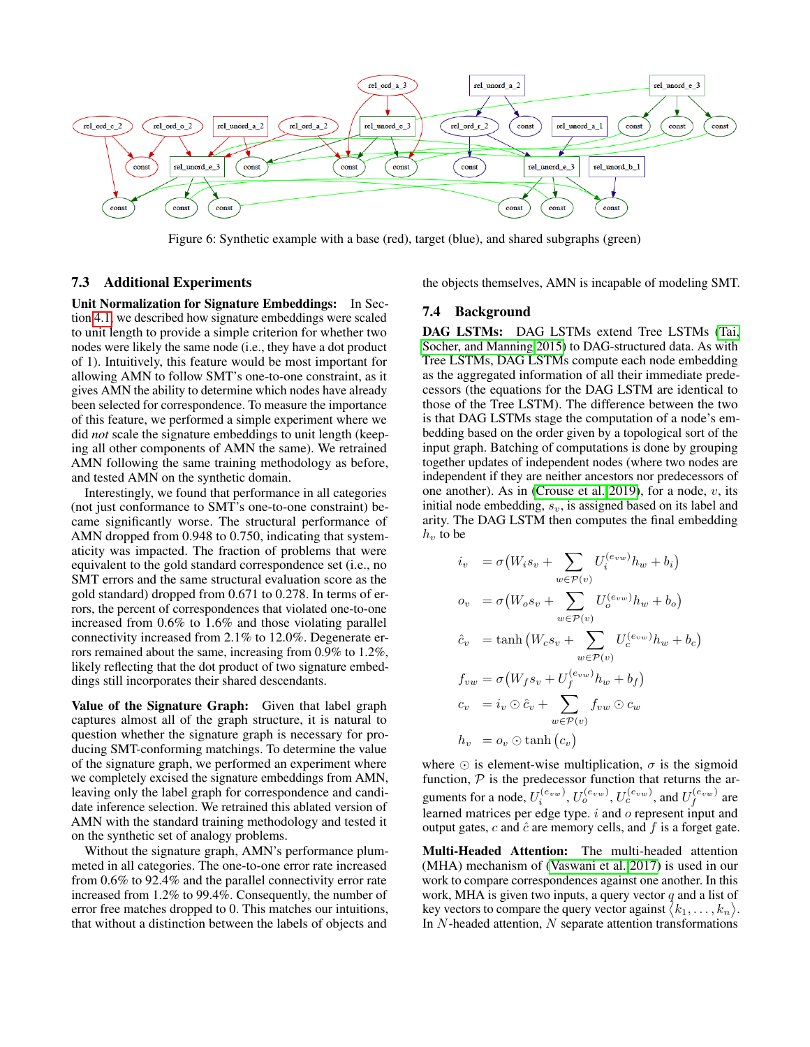<span id="page-9-0"></span>

Figure 6: Synthetic example with a base (red), target (blue), and shared subgraphs (green)

### 7.3 Additional Experiments

Unit Normalization for Signature Embeddings: In Section [4.1,](#page-2-1) we described how signature embeddings were scaled to unit length to provide a simple criterion for whether two nodes were likely the same node (i.e., they have a dot product of 1). Intuitively, this feature would be most important for allowing AMN to follow SMT's one-to-one constraint, as it gives AMN the ability to determine which nodes have already been selected for correspondence. To measure the importance of this feature, we performed a simple experiment where we did *not* scale the signature embeddings to unit length (keeping all other components of AMN the same). We retrained AMN following the same training methodology as before, and tested AMN on the synthetic domain.

Interestingly, we found that performance in all categories (not just conformance to SMT's one-to-one constraint) became significantly worse. The structural performance of AMN dropped from 0.948 to 0.750, indicating that systematicity was impacted. The fraction of problems that were equivalent to the gold standard correspondence set (i.e., no SMT errors and the same structural evaluation score as the gold standard) dropped from 0.671 to 0.278. In terms of errors, the percent of correspondences that violated one-to-one increased from 0.6% to 1.6% and those violating parallel connectivity increased from 2.1% to 12.0%. Degenerate errors remained about the same, increasing from 0.9% to 1.2%, likely reflecting that the dot product of two signature embeddings still incorporates their shared descendants.

Value of the Signature Graph: Given that label graph captures almost all of the graph structure, it is natural to question whether the signature graph is necessary for producing SMT-conforming matchings. To determine the value of the signature graph, we performed an experiment where we completely excised the signature embeddings from AMN, leaving only the label graph for correspondence and candidate inference selection. We retrained this ablated version of AMN with the standard training methodology and tested it on the synthetic set of analogy problems.

Without the signature graph, AMN's performance plummeted in all categories. The one-to-one error rate increased from 0.6% to 92.4% and the parallel connectivity error rate increased from 1.2% to 99.4%. Consequently, the number of error free matches dropped to 0. This matches our intuitions, that without a distinction between the labels of objects and

the objects themselves, AMN is incapable of modeling SMT.

#### 7.4 Background

DAG LSTMs: DAG LSTMs extend Tree LSTMs [\(Tai,](#page-8-22) [Socher, and Manning 2015\)](#page-8-22) to DAG-structured data. As with Tree LSTMs, DAG LSTMs compute each node embedding as the aggregated information of all their immediate predecessors (the equations for the DAG LSTM are identical to those of the Tree LSTM). The difference between the two is that DAG LSTMs stage the computation of a node's embedding based on the order given by a topological sort of the input graph. Batching of computations is done by grouping together updates of independent nodes (where two nodes are independent if they are neither ancestors nor predecessors of one another). As in [\(Crouse et al. 2019\)](#page-7-26), for a node,  $v$ , its initial node embedding,  $s_v$ , is assigned based on its label and arity. The DAG LSTM then computes the final embedding  $h_v$  to be

$$
i_v = \sigma(W_i s_v + \sum_{w \in \mathcal{P}(v)} U_i^{(e_{vw})} h_w + b_i)
$$
  
\n
$$
o_v = \sigma(W_o s_v + \sum_{w \in \mathcal{P}(v)} U_o^{(e_{vw})} h_w + b_o)
$$
  
\n
$$
\hat{c}_v = \tanh(W_c s_v + \sum_{w \in \mathcal{P}(v)} U_c^{(e_{vw})} h_w + b_c)
$$
  
\n
$$
f_{vw} = \sigma(W_f s_v + U_f^{(e_{vw})} h_w + b_f)
$$
  
\n
$$
c_v = i_v \odot \hat{c}_v + \sum_{w \in \mathcal{P}(v)} f_{vw} \odot c_w
$$
  
\n
$$
h_v = o_v \odot \tanh(c_v)
$$

where  $\odot$  is element-wise multiplication,  $\sigma$  is the sigmoid function,  $P$  is the predecessor function that returns the arguments for a node,  $U_i^{(e_{vw})}$ ,  $U_o^{(e_{vw})}$ ,  $U_c^{(e_{vw})}$ , and  $U_f^{(e_{vw})}$  are learned matrices per edge type. i and o represent input and output gates, c and  $\hat{c}$  are memory cells, and f is a forget gate.

<span id="page-9-1"></span>Multi-Headed Attention: The multi-headed attention (MHA) mechanism of [\(Vaswani et al. 2017\)](#page-8-13) is used in our work to compare correspondences against one another. In this work, MHA is given two inputs, a query vector  $q$  and a list of key vectors to compare the query vector against  $\langle k_1, \ldots, k_n \rangle$ . In  $N$ -headed attention,  $N$  separate attention transformations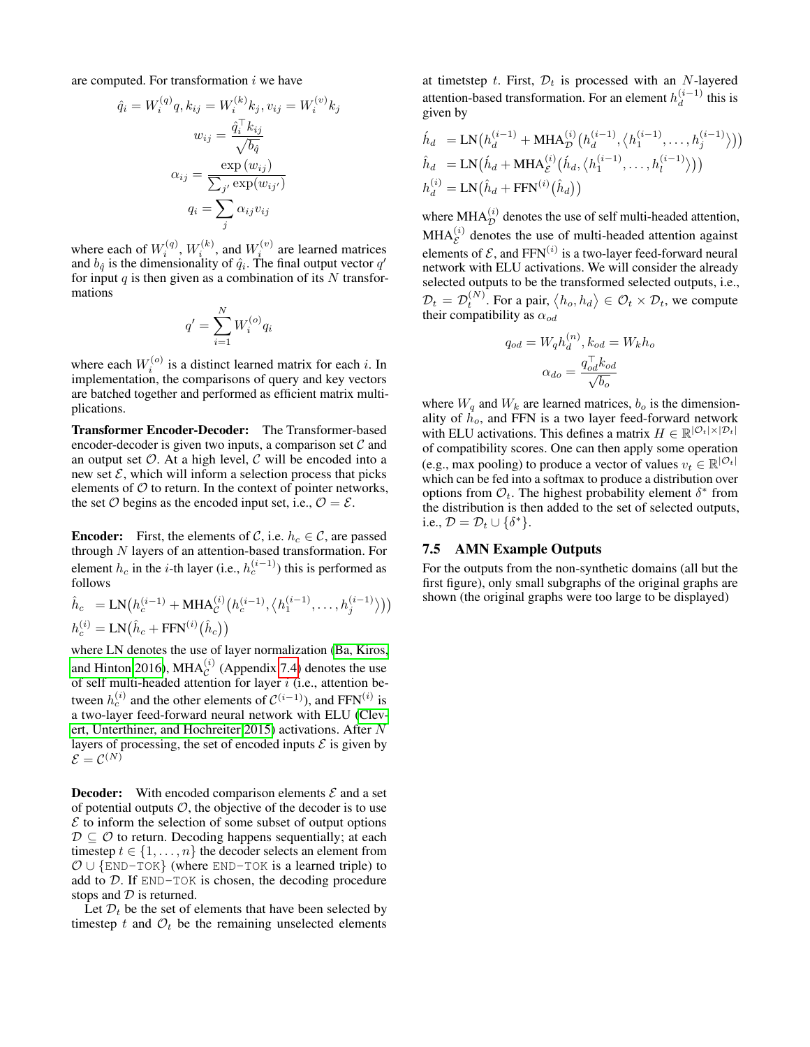are computed. For transformation  $i$  we have

$$
\hat{q}_i = W_i^{(q)} q, k_{ij} = W_i^{(k)} k_j, v_{ij} = W_i^{(v)} k_j
$$

$$
w_{ij} = \frac{\hat{q}_i^{\top} k_{ij}}{\sqrt{b_q}}
$$

$$
\alpha_{ij} = \frac{\exp(w_{ij})}{\sum_{j'} \exp(w_{ij'})}
$$

$$
q_i = \sum_j \alpha_{ij} v_{ij}
$$

where each of  $W_i^{(q)}$ ,  $W_i^{(k)}$ , and  $W_i^{(v)}$  are learned matrices and  $b_{\hat{q}}$  is the dimensionality of  $\hat{q}_i$ . The final output vector  $q'$ for input q is then given as a combination of its  $N$  transformations

$$
q'=\sum_{i=1}^N W_i^{(o)}q_i
$$

where each  $W_i^{(o)}$  is a distinct learned matrix for each *i*. In implementation, the comparisons of query and key vectors are batched together and performed as efficient matrix multiplications.

Transformer Encoder-Decoder: The Transformer-based encoder-decoder is given two inputs, a comparison set  $\mathcal C$  and an output set  $\mathcal O$ . At a high level,  $\mathcal C$  will be encoded into a new set  $\mathcal{E}$ , which will inform a selection process that picks elements of  $\mathcal O$  to return. In the context of pointer networks, the set  $\mathcal O$  begins as the encoded input set, i.e.,  $\mathcal O = \mathcal E$ .

**Encoder:** First, the elements of C, i.e.  $h_c \in \mathcal{C}$ , are passed through  $N$  layers of an attention-based transformation. For element  $h_c$  in the *i*-th layer (i.e.,  $h_c^{(i-1)}$ ) this is performed as follows

$$
\hat{h}_c = \text{LN}(h_c^{(i-1)} + \text{MHA}_c^{(i)}(h_c^{(i-1)}, \langle h_1^{(i-1)}, \dots, h_j^{(i-1)} \rangle))
$$
  

$$
h_c^{(i)} = \text{LN}(\hat{h}_c + \text{FFN}^{(i)}(\hat{h}_c))
$$

where LN denotes the use of layer normalization [\(Ba, Kiros,](#page-7-33) [and Hinton 2016\)](#page-7-33), MHA $_c^{(i)}$  (Appendix [7.4\)](#page-9-1) denotes the use of self multi-headed attention for layer  $i$  (i.e., attention between  $h_c^{(i)}$  and the other elements of  $\mathcal{C}^{(i-1)}$ ), and FFN $^{(i)}$  is a two-layer feed-forward neural network with ELU [\(Clev](#page-7-27)[ert, Unterthiner, and Hochreiter 2015\)](#page-7-27) activations. After N layers of processing, the set of encoded inputs  $\mathcal E$  is given by  $\mathcal{E}=\mathcal{C}^{(N)}$ 

**Decoder:** With encoded comparison elements  $\mathcal{E}$  and a set of potential outputs  $O$ , the objective of the decoder is to use  $\mathcal E$  to inform the selection of some subset of output options  $D \subseteq \mathcal{O}$  to return. Decoding happens sequentially; at each timestep  $t \in \{1, \ldots, n\}$  the decoder selects an element from  $\mathcal{O} \cup \{\text{END-TOK}\}\$  (where END-TOK is a learned triple) to add to D. If END-TOK is chosen, the decoding procedure stops and  $D$  is returned.

Let  $\mathcal{D}_t$  be the set of elements that have been selected by timestep t and  $\mathcal{O}_t$  be the remaining unselected elements

at timetstep t. First,  $\mathcal{D}_t$  is processed with an N-layered attention-based transformation. For an element  $h_d^{(i-1)}$  $\int_{d}^{(i-1)}$  this is given by

$$
\hat{h}_d = \text{LN}\big(h_d^{(i-1)} + \text{MHA}_{\mathcal{D}}^{(i)}\big(h_d^{(i-1)}, \langle h_1^{(i-1)}, \dots, h_j^{(i-1)}\rangle\big)\big)
$$
\n
$$
\hat{h}_d = \text{LN}\big(\hat{h}_d + \text{MHA}_{\mathcal{E}}^{(i)}\big(\hat{h}_d, \langle h_1^{(i-1)}, \dots, h_l^{(i-1)}\rangle\big)\big)
$$
\n
$$
h_d^{(i)} = \text{LN}\big(\hat{h}_d + \text{FFN}^{(i)}\big(\hat{h}_d\big)\big)
$$

where  $\text{MHA}_{\mathcal{D}}^{(i)}$  denotes the use of self multi-headed attention,  $MHA_{\mathcal{E}}^{(i)}$  denotes the use of multi-headed attention against elements of  $\mathcal{E}$ , and FFN<sup>(i)</sup> is a two-layer feed-forward neural network with ELU activations. We will consider the already selected outputs to be the transformed selected outputs, i.e.,  $\mathcal{D}_t = \mathcal{D}_t^{(N)}$ . For a pair,  $\langle h_o, h_d \rangle \in \mathcal{O}_t \times \mathcal{D}_t$ , we compute their compatibility as  $\alpha_{od}$ 

$$
q_{od} = W_q h_d^{(n)}, k_{od} = W_k h_o
$$

$$
\alpha_{do} = \frac{q_{od}^{\top} k_{od}}{\sqrt{b_o}}
$$

where  $W_q$  and  $W_k$  are learned matrices,  $b_o$  is the dimensionality of  $h_0$ , and FFN is a two layer feed-forward network with ELU activations. This defines a matrix  $H \in \mathbb{R}^{\left|\mathcal{O}_t\right| \times \left|\mathcal{D}_t\right|}$ of compatibility scores. One can then apply some operation (e.g., max pooling) to produce a vector of values  $v_t \in \mathbb{R}^{|\mathcal{O}_t|}$ which can be fed into a softmax to produce a distribution over options from  $\mathcal{O}_t$ . The highest probability element  $\delta^*$  from the distribution is then added to the set of selected outputs, i.e.,  $\mathcal{D} = \mathcal{D}_t \cup \{\delta^*\}.$ 

#### 7.5 AMN Example Outputs

For the outputs from the non-synthetic domains (all but the first figure), only small subgraphs of the original graphs are shown (the original graphs were too large to be displayed)